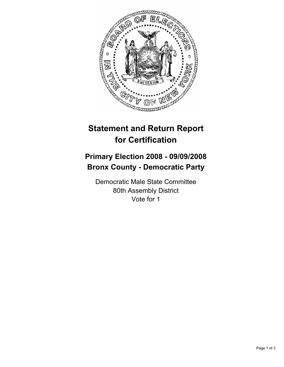

## **Statement and Return Report for Certification**

## **Primary Election 2008 - 09/09/2008 Bronx County - Democratic Party**

Democratic Male State Committee 80th Assembly District Vote for 1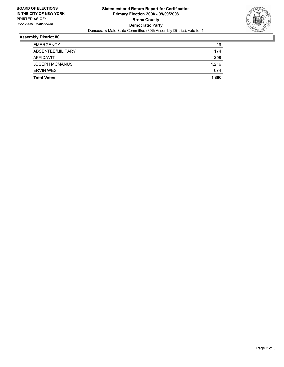

## **Assembly District 80**

| <b>Total Votes</b>    | 1,890 |
|-----------------------|-------|
| <b>ERVIN WEST</b>     | 674   |
| <b>JOSEPH MCMANUS</b> | 1,216 |
| AFFIDAVIT             | 259   |
| ABSENTEE/MILITARY     | 174   |
| <b>EMERGENCY</b>      | 19    |